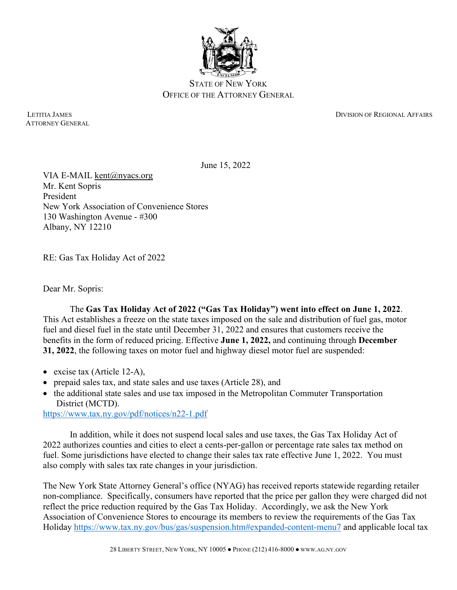

STATE OF NEW YORK OFFICE OF THE ATTORNEY GENERAL

ATTORNEY GENERAL

LETITIA JAMES DIVISION OF REGIONAL AFFAIRS

June 15, 2022

VIA E-MAIL [kent@nyacs.org](mailto:kent@nyacs.org) Mr. Kent Sopris President New York Association of Convenience Stores 130 Washington Avenue - #300 Albany, NY 12210

RE: Gas Tax Holiday Act of 2022

Dear Mr. Sopris:

The **Gas Tax Holiday Act of 2022 ("Gas Tax Holiday") went into effect on June 1, 2022**. This Act establishes a freeze on the state taxes imposed on the sale and distribution of fuel gas, motor fuel and diesel fuel in the state until December 31, 2022 and ensures that customers receive the benefits in the form of reduced pricing. Effective **June 1, 2022,** and continuing through **December 31, 2022**, the following taxes on motor fuel and highway diesel motor fuel are suspended:

- excise tax (Article 12-A),
- prepaid sales tax, and state sales and use taxes (Article 28), and
- the additional state sales and use tax imposed in the Metropolitan Commuter Transportation District (MCTD).

<https://www.tax.ny.gov/pdf/notices/n22-1.pdf>

In addition, while it does not suspend local sales and use taxes, the Gas Tax Holiday Act of 2022 authorizes counties and cities to elect a cents-per-gallon or percentage rate sales tax method on fuel. Some jurisdictions have elected to change their sales tax rate effective June 1, 2022. You must also comply with sales tax rate changes in your jurisdiction.

The New York State Attorney General's office (NYAG) has received reports statewide regarding retailer non-compliance. Specifically, consumers have reported that the price per gallon they were charged did not reflect the price reduction required by the Gas Tax Holiday. Accordingly, we ask the New York Association of Convenience Stores to encourage its members to review the requirements of the Gas Tax Holiday<https://www.tax.ny.gov/bus/gas/suspension.htm#expanded-content-menu7> and applicable local tax